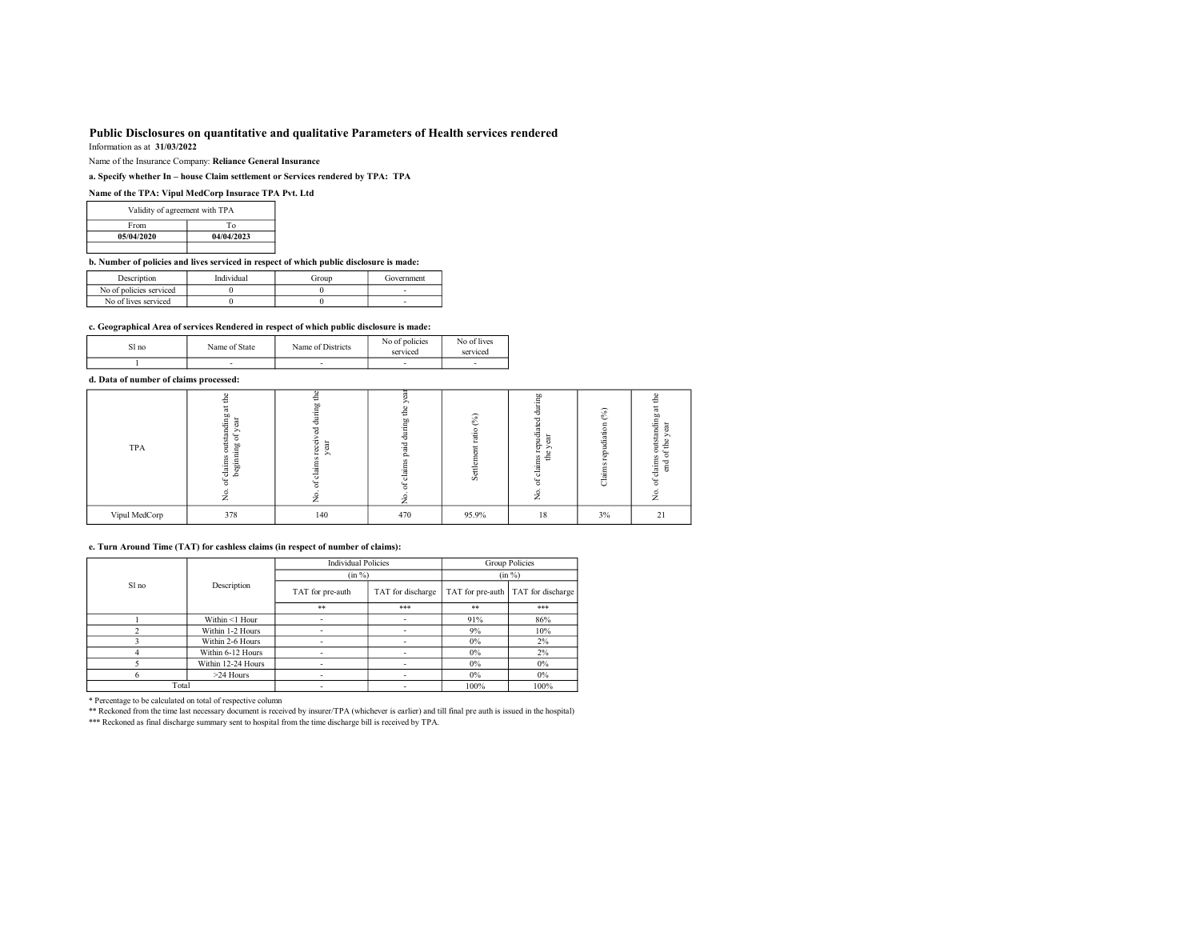# Public Disclosures on quantitative and qualitative Parameters of Health services rendered

Information as at 31/03/2022

Name of the Insurance Company: Reliance General Insurance

a. Specify whether In – house Claim settlement or Services rendered by TPA: TPA

# Name of the TPA: Vipul MedCorp Insurace TPA Pvt. Ltd

| Validity of agreement with TPA |            |  |  |  |  |  |
|--------------------------------|------------|--|--|--|--|--|
| From                           | Tο         |  |  |  |  |  |
| 05/04/2020                     | 04/04/2023 |  |  |  |  |  |
|                                |            |  |  |  |  |  |

b. Number of policies and lives serviced in respect of which public disclosure is made:

| Description             | Individual | Group | Government |
|-------------------------|------------|-------|------------|
| No of policies serviced |            |       |            |
| No of lives serviced    |            |       |            |

#### c. Geographical Area of services Rendered in respect of which public disclosure is made:

| Sl no | Name of State | Name of Districts | ° policies<br>No of<br>serviced | No of lives<br>serviced |
|-------|---------------|-------------------|---------------------------------|-------------------------|
|       |               |                   |                                 | -                       |

# d. Data of number of claims processed:

| TPA           | ۰<br>÷<br>ã<br>utstanding<br>ā<br>∽<br>$\overline{\phantom{a}}$<br>$\overline{\circ}$<br>욤<br>ö<br>≔<br>claims<br>eginn<br>ے<br>ಕ<br>۰<br>∽<br>∠ | ÷<br>÷<br>$-$ | €<br>٥p<br>٠e<br>ᆞ<br>Ξ<br>ದ<br>ದ<br>÷ | $\mathcal{S}_0$<br>Ō | CD<br>᠇<br>₩<br>ه<br>ð3<br>≌ ≞<br>- | (° <sub>0</sub> )<br>. .<br>-<br>◡ | ۰<br>÷<br>渇<br>ਥ<br>旨<br>Ф.<br>ω<br>ö.<br>≞<br>s<br>≖<br>٠Ħ<br>5<br>∸<br>$\overline{\phantom{a}}$<br>ö<br>∽<br>∼ |  |
|---------------|--------------------------------------------------------------------------------------------------------------------------------------------------|---------------|----------------------------------------|----------------------|-------------------------------------|------------------------------------|------------------------------------------------------------------------------------------------------------------|--|
| Vipul MedCorp | 378                                                                                                                                              | 140           | 470                                    | 95.9%                | 18                                  | 3%                                 | 21                                                                                                               |  |

#### e. Turn Around Time (TAT) for cashless claims (in respect of number of claims):

|       |                    | <b>Individual Policies</b> |                   | Group Policies |                                      |  |
|-------|--------------------|----------------------------|-------------------|----------------|--------------------------------------|--|
|       | Description        | (in %)                     |                   | (in %)         |                                      |  |
| Sl no |                    | TAT for pre-auth           | TAT for discharge |                | TAT for pre-auth   TAT for discharge |  |
|       |                    | $***$                      | ***               | **             | ***                                  |  |
|       | Within <1 Hour     |                            |                   | 91%            | 86%                                  |  |
|       | Within 1-2 Hours   |                            |                   | 9%             | 10%                                  |  |
|       | Within 2-6 Hours   |                            |                   | $0\%$          | $2\%$                                |  |
|       | Within 6-12 Hours  |                            |                   | $0\%$          | 2%                                   |  |
|       | Within 12-24 Hours |                            |                   | $0\%$          | $0\%$                                |  |
|       | $>24$ Hours        |                            |                   | $0\%$          | $0\%$                                |  |
| Total |                    |                            |                   | 100%           | 100%                                 |  |

\* Percentage to be calculated on total of respective column

\*\* Reckoned from the time last necessary document is received by insurer/TPA (whichever is earlier) and till final pre auth is issued in the hospital)<br>\*\*\* Reckoned as final discharge summary sent to hospital from the time